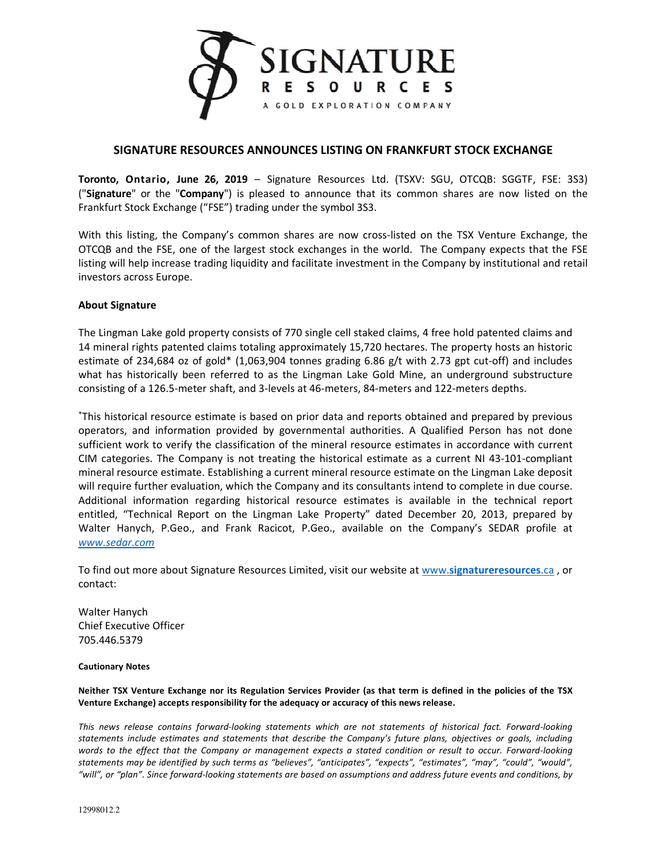

## **SIGNATURE RESOURCES ANNOUNCES LISTING ON FRANKFURT STOCK EXCHANGE**

**Toronto, Ontario, June 26, 2019** – Signature Resources Ltd. (TSXV: SGU, OTCQB: SGGTF, FSE: 3S3) ("**Signature**" or the "**Company**") is pleased to announce that its common shares are now listed on the Frankfurt Stock Exchange ("FSE") trading under the symbol 3S3.

With this listing, the Company's common shares are now cross-listed on the TSX Venture Exchange, the OTCQB and the FSE, one of the largest stock exchanges in the world. The Company expects that the FSE listing will help increase trading liquidity and facilitate investment in the Company by institutional and retail investors across Europe.

## **About Signature**

The Lingman Lake gold property consists of 770 single cell staked claims, 4 free hold patented claims and 14 mineral rights patented claims totaling approximately 15,720 hectares. The property hosts an historic estimate of 234,684 oz of gold\* (1,063,904 tonnes grading 6.86 g/t with 2.73 gpt cut-off) and includes what has historically been referred to as the Lingman Lake Gold Mine, an underground substructure consisting of a 126.5-meter shaft, and 3-levels at 46-meters, 84-meters and 122-meters depths.

\*This historical resource estimate is based on prior data and reports obtained and prepared by previous operators, and information provided by governmental authorities. A Qualified Person has not done sufficient work to verify the classification of the mineral resource estimates in accordance with current CIM categories. The Company is not treating the historical estimate as a current NI 43-101-compliant mineral resource estimate. Establishing a current mineral resource estimate on the Lingman Lake deposit will require further evaluation, which the Company and its consultants intend to complete in due course. Additional information regarding historical resource estimates is available in the technical report entitled, "Technical Report on the Lingman Lake Property" dated December 20, 2013, prepared by Walter Hanych, P.Geo., and Frank Racicot, P.Geo., available on the Company's SEDAR profile at *www.sedar.com*

To find out more about Signature Resources Limited, visit our website at www.**signatureresources**.ca , or contact:

Walter Hanych Chief Executive Officer 705.446.5379

## **Cautionary Notes**

**Neither TSX Venture Exchange nor its Regulation Services Provider (as that term is defined in the policies of the TSX Venture Exchange) accepts responsibility for the adequacy or accuracy of this news release.**

*This news release contains forward-looking statements which are not statements of historical fact. Forward-looking statements include estimates and statements that describe the Company's future plans, objectives or goals, including words to the effect that the Company or management expects a stated condition or result to occur. Forward-looking statements may be identified by such terms as "believes", "anticipates", "expects", "estimates", "may", "could", "would", "will", or "plan". Since forward-looking statements are based on assumptions and address future events and conditions, by*